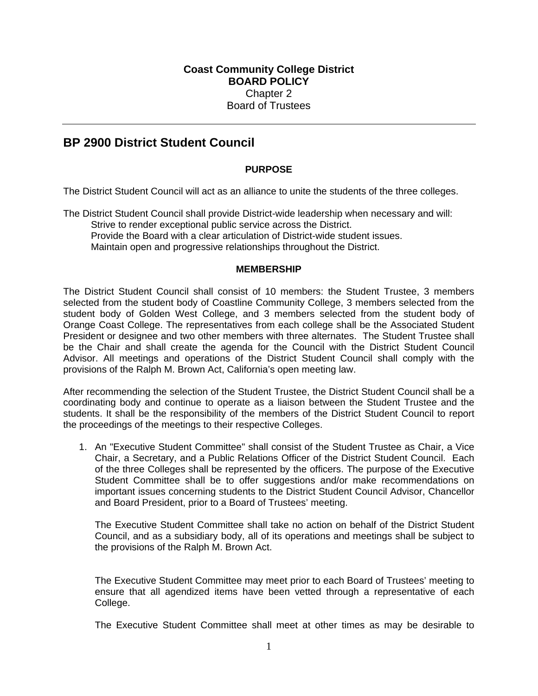# **BP 2900 District Student Council**

# **PURPOSE**

The District Student Council will act as an alliance to unite the students of the three colleges.

The District Student Council shall provide District-wide leadership when necessary and will: Strive to render exceptional public service across the District. Provide the Board with a clear articulation of District-wide student issues. Maintain open and progressive relationships throughout the District.

#### **MEMBERSHIP**

The District Student Council shall consist of 10 members: the Student Trustee, 3 members selected from the student body of Coastline Community College, 3 members selected from the student body of Golden West College, and 3 members selected from the student body of Orange Coast College. The representatives from each college shall be the Associated Student President or designee and two other members with three alternates. The Student Trustee shall be the Chair and shall create the agenda for the Council with the District Student Council Advisor. All meetings and operations of the District Student Council shall comply with the provisions of the Ralph M. Brown Act, California's open meeting law.

After recommending the selection of the Student Trustee, the District Student Council shall be a coordinating body and continue to operate as a liaison between the Student Trustee and the students. It shall be the responsibility of the members of the District Student Council to report the proceedings of the meetings to their respective Colleges.

1. An "Executive Student Committee" shall consist of the Student Trustee as Chair, a Vice Chair, a Secretary, and a Public Relations Officer of the District Student Council. Each of the three Colleges shall be represented by the officers. The purpose of the Executive Student Committee shall be to offer suggestions and/or make recommendations on important issues concerning students to the District Student Council Advisor, Chancellor and Board President, prior to a Board of Trustees' meeting.

The Executive Student Committee shall take no action on behalf of the District Student Council, and as a subsidiary body, all of its operations and meetings shall be subject to the provisions of the Ralph M. Brown Act.

The Executive Student Committee may meet prior to each Board of Trustees' meeting to ensure that all agendized items have been vetted through a representative of each College.

The Executive Student Committee shall meet at other times as may be desirable to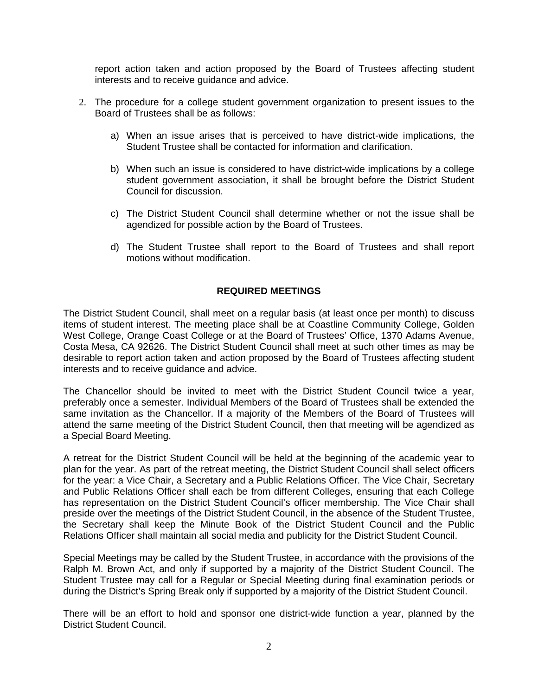report action taken and action proposed by the Board of Trustees affecting student interests and to receive guidance and advice.

- 2. The procedure for a college student government organization to present issues to the Board of Trustees shall be as follows:
	- a) When an issue arises that is perceived to have district-wide implications, the Student Trustee shall be contacted for information and clarification.
	- b) When such an issue is considered to have district-wide implications by a college student government association, it shall be brought before the District Student Council for discussion.
	- c) The District Student Council shall determine whether or not the issue shall be agendized for possible action by the Board of Trustees.
	- d) The Student Trustee shall report to the Board of Trustees and shall report motions without modification.

# **REQUIRED MEETINGS**

The District Student Council, shall meet on a regular basis (at least once per month) to discuss items of student interest. The meeting place shall be at Coastline Community College, Golden West College, Orange Coast College or at the Board of Trustees' Office, 1370 Adams Avenue, Costa Mesa, CA 92626. The District Student Council shall meet at such other times as may be desirable to report action taken and action proposed by the Board of Trustees affecting student interests and to receive guidance and advice.

The Chancellor should be invited to meet with the District Student Council twice a year, preferably once a semester. Individual Members of the Board of Trustees shall be extended the same invitation as the Chancellor. If a majority of the Members of the Board of Trustees will attend the same meeting of the District Student Council, then that meeting will be agendized as a Special Board Meeting.

A retreat for the District Student Council will be held at the beginning of the academic year to plan for the year. As part of the retreat meeting, the District Student Council shall select officers for the year: a Vice Chair, a Secretary and a Public Relations Officer. The Vice Chair, Secretary and Public Relations Officer shall each be from different Colleges, ensuring that each College has representation on the District Student Council's officer membership. The Vice Chair shall preside over the meetings of the District Student Council, in the absence of the Student Trustee, the Secretary shall keep the Minute Book of the District Student Council and the Public Relations Officer shall maintain all social media and publicity for the District Student Council.

Special Meetings may be called by the Student Trustee, in accordance with the provisions of the Ralph M. Brown Act, and only if supported by a majority of the District Student Council. The Student Trustee may call for a Regular or Special Meeting during final examination periods or during the District's Spring Break only if supported by a majority of the District Student Council.

There will be an effort to hold and sponsor one district-wide function a year, planned by the District Student Council.